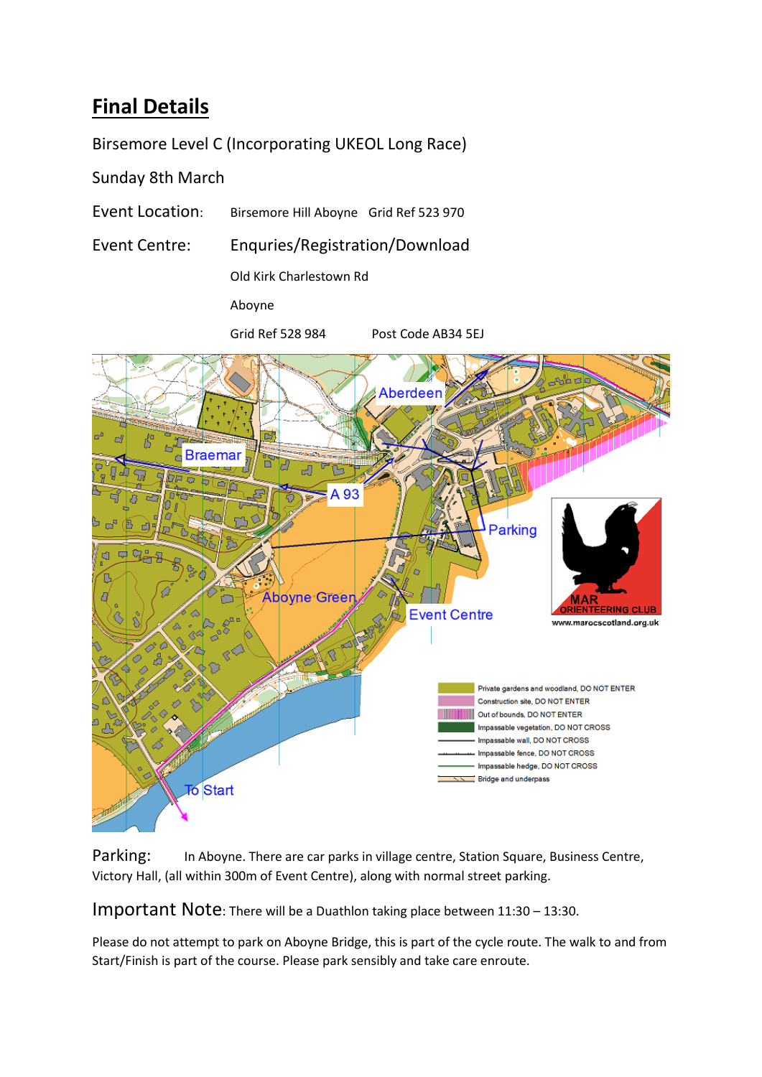## **Final Details**

Birsemore Level C (Incorporating UKEOL Long Race)

Sunday 8th March

- Event Location: Birsemore Hill Aboyne Grid Ref 523 970
- Event Centre: Enquries/Registration/Download

Old Kirk Charlestown Rd

Aboyne

Grid Ref 528 984 Post Code AB34 5EJ



Parking: In Aboyne. There are car parks in village centre, Station Square, Business Centre, Victory Hall, (all within 300m of Event Centre), along with normal street parking.

Important Note: There will be a Duathlon taking place between 11:30 – 13:30.

Please do not attempt to park on Aboyne Bridge, this is part of the cycle route. The walk to and from Start/Finish is part of the course. Please park sensibly and take care enroute.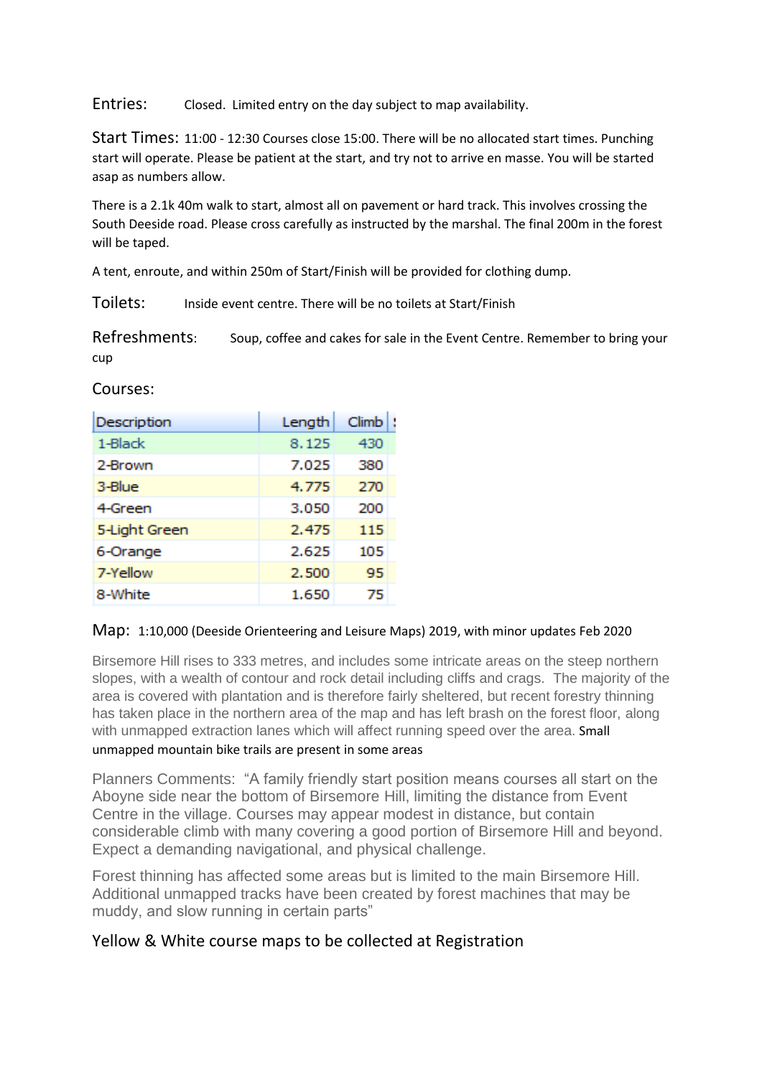Entries: Closed. Limited entry on the day subject to map availability.

Start Times: 11:00 - 12:30 Courses close 15:00. There will be no allocated start times. Punching start will operate. Please be patient at the start, and try not to arrive en masse. You will be started asap as numbers allow.

There is a 2.1k 40m walk to start, almost all on pavement or hard track. This involves crossing the South Deeside road. Please cross carefully as instructed by the marshal. The final 200m in the forest will be taped.

A tent, enroute, and within 250m of Start/Finish will be provided for clothing dump.

Toilets: Inside event centre. There will be no toilets at Start/Finish

Refreshments: Soup, coffee and cakes for sale in the Event Centre. Remember to bring your cup

Courses:

| Description   | Length | <b>Climb</b> |
|---------------|--------|--------------|
| 1-Black       | 8.125  | 430          |
| 2-Brown       | 7.025  | 380          |
| 3-Blue        | 4.775  | 270          |
| 4-Green       | 3.050  | 200          |
| 5-Light Green | 2.475  | 115          |
| 6-Orange      | 2.625  | 105          |
| 7-Yellow      | 2.500  | 95           |
| 8-White       | 1.650  | 75           |

## Map: 1:10,000 (Deeside Orienteering and Leisure Maps) 2019, with minor updates Feb 2020

Birsemore Hill rises to 333 metres, and includes some intricate areas on the steep northern slopes, with a wealth of contour and rock detail including cliffs and crags. The majority of the area is covered with plantation and is therefore fairly sheltered, but recent forestry thinning has taken place in the northern area of the map and has left brash on the forest floor, along with unmapped extraction lanes which will affect running speed over the area. Small unmapped mountain bike trails are present in some areas

Planners Comments: "A family friendly start position means courses all start on the Aboyne side near the bottom of Birsemore Hill, limiting the distance from Event Centre in the village. Courses may appear modest in distance, but contain considerable climb with many covering a good portion of Birsemore Hill and beyond. Expect a demanding navigational, and physical challenge.

Forest thinning has affected some areas but is limited to the main Birsemore Hill. Additional unmapped tracks have been created by forest machines that may be muddy, and slow running in certain parts"

## Yellow & White course maps to be collected at Registration